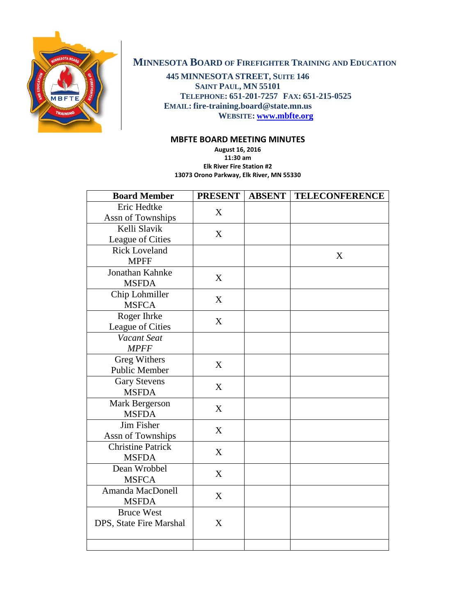

# **MINNESOTA BOARD OF FIREFIGHTER TRAINING AND EDUCATION**

**445 MINNESOTA STREET, SUITE 146 SAINT PAUL, MN 55101 TELEPHONE: 651-201-7257 FAX: 651-215-0525 EMAIL: fire-training.board@state.mn.us WEBSITE: [www.mbfte.org](http://www.mbfte.org/)**

## **MBFTE BOARD MEETING MINUTES**

**August 16, 2016 11:30 am Elk River Fire Station #2 13073 Orono Parkway, Elk River, MN 55330**

| <b>Board Member</b>                          | <b>PRESENT</b> | <b>ABSENT</b> | <b>TELECONFERENCE</b> |
|----------------------------------------------|----------------|---------------|-----------------------|
| Eric Hedtke<br>Assn of Townships             | X              |               |                       |
| Kelli Slavik<br>League of Cities             | X              |               |                       |
| <b>Rick Loveland</b><br><b>MPFF</b>          |                |               | X                     |
| Jonathan Kahnke<br><b>MSFDA</b>              | X              |               |                       |
| Chip Lohmiller<br><b>MSFCA</b>               | X              |               |                       |
| Roger Ihrke<br>League of Cities              | X              |               |                       |
| Vacant Seat<br><b>MPFF</b>                   |                |               |                       |
| Greg Withers<br><b>Public Member</b>         | X              |               |                       |
| <b>Gary Stevens</b><br><b>MSFDA</b>          | X              |               |                       |
| Mark Bergerson<br><b>MSFDA</b>               | X              |               |                       |
| Jim Fisher<br>Assn of Townships              | X              |               |                       |
| <b>Christine Patrick</b><br><b>MSFDA</b>     | X              |               |                       |
| Dean Wrobbel<br><b>MSFCA</b>                 | X              |               |                       |
| Amanda MacDonell<br><b>MSFDA</b>             | X              |               |                       |
| <b>Bruce West</b><br>DPS, State Fire Marshal | X              |               |                       |
|                                              |                |               |                       |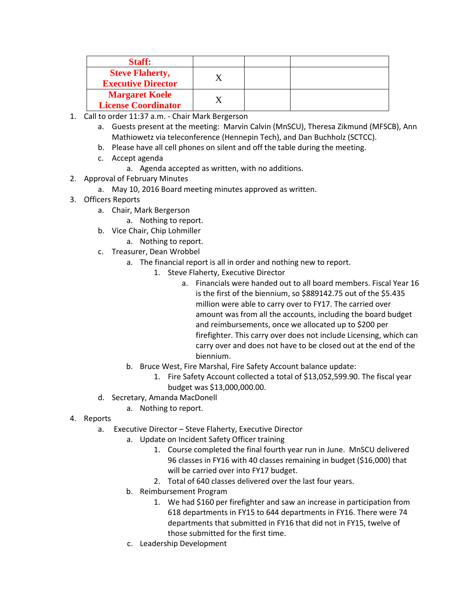| <b>Staff:</b>                                       |  |  |
|-----------------------------------------------------|--|--|
| <b>Steve Flaherty,</b><br><b>Executive Director</b> |  |  |
| <b>Margaret Koele</b><br><b>License Coordinator</b> |  |  |

- 1. Call to order 11:37 a.m. Chair Mark Bergerson
	- a. Guests present at the meeting: Marvin Calvin (MnSCU), Theresa Zikmund (MFSCB), Ann Mathiowetz via teleconference (Hennepin Tech), and Dan Buchholz (SCTCC).
	- b. Please have all cell phones on silent and off the table during the meeting.
	- c. Accept agenda
		- a. Agenda accepted as written, with no additions.
- 2. Approval of February Minutes
	- a. May 10, 2016 Board meeting minutes approved as written.
- 3. Officers Reports
	- a. Chair, Mark Bergerson
		- a. Nothing to report.
	- b. Vice Chair, Chip Lohmiller
		- a. Nothing to report.
	- c. Treasurer, Dean Wrobbel
		- a. The financial report is all in order and nothing new to report.
			- 1. Steve Flaherty, Executive Director
				- a. Financials were handed out to all board members. Fiscal Year 16 is the first of the biennium, so \$889142.75 out of the \$5.435 million were able to carry over to FY17. The carried over amount was from all the accounts, including the board budget and reimbursements, once we allocated up to \$200 per firefighter. This carry over does not include Licensing, which can carry over and does not have to be closed out at the end of the biennium.
		- b. Bruce West, Fire Marshal, Fire Safety Account balance update:
			- 1. Fire Safety Account collected a total of \$13,052,599.90. The fiscal year budget was \$13,000,000.00.
	- d. Secretary, Amanda MacDonell
		- a. Nothing to report.
- 4. Reports
	- a. Executive Director Steve Flaherty, Executive Director
		- a. Update on Incident Safety Officer training
			- 1. Course completed the final fourth year run in June. MnSCU delivered 96 classes in FY16 with 40 classes remaining in budget (\$16,000) that will be carried over into FY17 budget.
			- 2. Total of 640 classes delivered over the last four years.
		- b. Reimbursement Program
			- 1. We had \$160 per firefighter and saw an increase in participation from 618 departments in FY15 to 644 departments in FY16. There were 74 departments that submitted in FY16 that did not in FY15, twelve of those submitted for the first time.
		- c. Leadership Development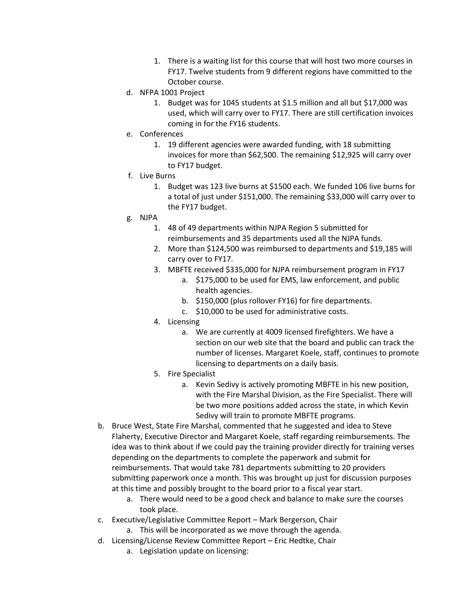- 1. There is a waiting list for this course that will host two more courses in FY17. Twelve students from 9 different regions have committed to the October course.
- d. NFPA 1001 Project
	- 1. Budget was for 1045 students at \$1.5 million and all but \$17,000 was used, which will carry over to FY17. There are still certification invoices coming in for the FY16 students.
- e. Conferences
	- 1. 19 different agencies were awarded funding, with 18 submitting invoices for more than \$62,500. The remaining \$12,925 will carry over to FY17 budget.
- f. Live Burns
	- 1. Budget was 123 live burns at \$1500 each. We funded 106 live burns for a total of just under \$151,000. The remaining \$33,000 will carry over to the FY17 budget.
- g. NJPA
	- 1. 48 of 49 departments within NJPA Region 5 submitted for reimbursements and 35 departments used all the NJPA funds.
	- 2. More than \$124,500 was reimbursed to departments and \$19,185 will carry over to FY17.
	- 3. MBFTE received \$335,000 for NJPA reimbursement program in FY17
		- a. \$175,000 to be used for EMS, law enforcement, and public health agencies.
		- b. \$150,000 (plus rollover FY16) for fire departments.
		- c. \$10,000 to be used for administrative costs.
	- 4. Licensing
		- a. We are currently at 4009 licensed firefighters. We have a section on our web site that the board and public can track the number of licenses. Margaret Koele, staff, continues to promote licensing to departments on a daily basis.
	- 5. Fire Specialist
		- a. Kevin Sedivy is actively promoting MBFTE in his new position, with the Fire Marshal Division, as the Fire Specialist. There will be two more positions added across the state, in which Kevin Sedivy will train to promote MBFTE programs.
- b. Bruce West, State Fire Marshal, commented that he suggested and idea to Steve Flaherty, Executive Director and Margaret Koele, staff regarding reimbursements. The idea was to think about if we could pay the training provider directly for training verses depending on the departments to complete the paperwork and submit for reimbursements. That would take 781 departments submitting to 20 providers submitting paperwork once a month. This was brought up just for discussion purposes at this time and possibly brought to the board prior to a fiscal year start.
	- a. There would need to be a good check and balance to make sure the courses took place.
- c. Executive/Legislative Committee Report Mark Bergerson, Chair
	- a. This will be incorporated as we move through the agenda.
- d. Licensing/License Review Committee Report Eric Hedtke, Chair
	- a. Legislation update on licensing: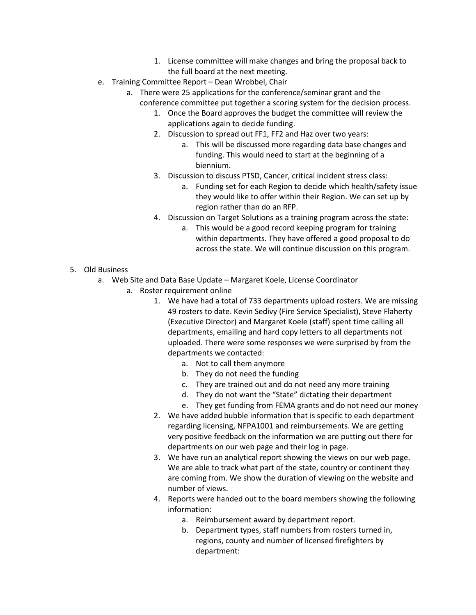- 1. License committee will make changes and bring the proposal back to the full board at the next meeting.
- e. Training Committee Report Dean Wrobbel, Chair
	- a. There were 25 applications for the conference/seminar grant and the conference committee put together a scoring system for the decision process.
		- 1. Once the Board approves the budget the committee will review the applications again to decide funding.
		- 2. Discussion to spread out FF1, FF2 and Haz over two years:
			- a. This will be discussed more regarding data base changes and funding. This would need to start at the beginning of a biennium.
		- 3. Discussion to discuss PTSD, Cancer, critical incident stress class:
			- a. Funding set for each Region to decide which health/safety issue they would like to offer within their Region. We can set up by region rather than do an RFP.
		- 4. Discussion on Target Solutions as a training program across the state:
			- a. This would be a good record keeping program for training within departments. They have offered a good proposal to do across the state. We will continue discussion on this program.
- 5. Old Business
	- a. Web Site and Data Base Update Margaret Koele, License Coordinator
		- a. Roster requirement online
			- 1. We have had a total of 733 departments upload rosters. We are missing 49 rosters to date. Kevin Sedivy (Fire Service Specialist), Steve Flaherty (Executive Director) and Margaret Koele (staff) spent time calling all departments, emailing and hard copy letters to all departments not uploaded. There were some responses we were surprised by from the departments we contacted:
				- a. Not to call them anymore
				- b. They do not need the funding
				- c. They are trained out and do not need any more training
				- d. They do not want the "State" dictating their department
				- e. They get funding from FEMA grants and do not need our money
			- 2. We have added bubble information that is specific to each department regarding licensing, NFPA1001 and reimbursements. We are getting very positive feedback on the information we are putting out there for departments on our web page and their log in page.
			- 3. We have run an analytical report showing the views on our web page. We are able to track what part of the state, country or continent they are coming from. We show the duration of viewing on the website and number of views.
			- 4. Reports were handed out to the board members showing the following information:
				- a. Reimbursement award by department report.
				- b. Department types, staff numbers from rosters turned in, regions, county and number of licensed firefighters by department: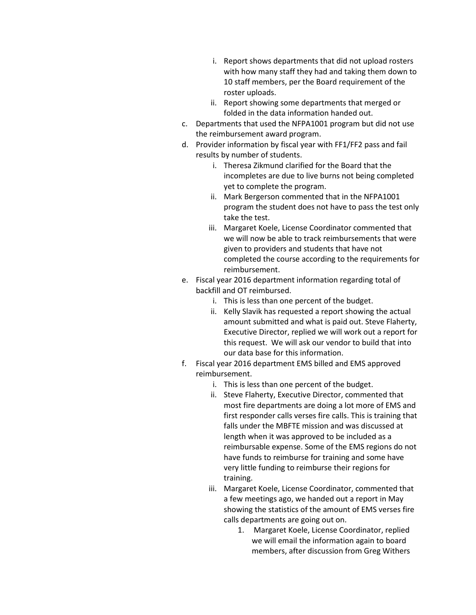- i. Report shows departments that did not upload rosters with how many staff they had and taking them down to 10 staff members, per the Board requirement of the roster uploads.
- ii. Report showing some departments that merged or folded in the data information handed out.
- c. Departments that used the NFPA1001 program but did not use the reimbursement award program.
- d. Provider information by fiscal year with FF1/FF2 pass and fail results by number of students.
	- i. Theresa Zikmund clarified for the Board that the incompletes are due to live burns not being completed yet to complete the program.
	- ii. Mark Bergerson commented that in the NFPA1001 program the student does not have to pass the test only take the test.
	- iii. Margaret Koele, License Coordinator commented that we will now be able to track reimbursements that were given to providers and students that have not completed the course according to the requirements for reimbursement.
- e. Fiscal year 2016 department information regarding total of backfill and OT reimbursed.
	- i. This is less than one percent of the budget.
	- ii. Kelly Slavik has requested a report showing the actual amount submitted and what is paid out. Steve Flaherty, Executive Director, replied we will work out a report for this request. We will ask our vendor to build that into our data base for this information.
- f. Fiscal year 2016 department EMS billed and EMS approved reimbursement.
	- i. This is less than one percent of the budget.
	- ii. Steve Flaherty, Executive Director, commented that most fire departments are doing a lot more of EMS and first responder calls verses fire calls. This is training that falls under the MBFTE mission and was discussed at length when it was approved to be included as a reimbursable expense. Some of the EMS regions do not have funds to reimburse for training and some have very little funding to reimburse their regions for training.
	- iii. Margaret Koele, License Coordinator, commented that a few meetings ago, we handed out a report in May showing the statistics of the amount of EMS verses fire calls departments are going out on.
		- 1. Margaret Koele, License Coordinator, replied we will email the information again to board members, after discussion from Greg Withers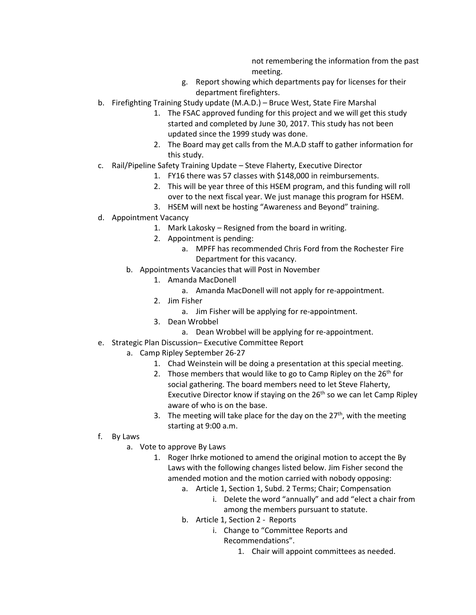not remembering the information from the past meeting.

- g. Report showing which departments pay for licenses for their department firefighters.
- b. Firefighting Training Study update (M.A.D.) Bruce West, State Fire Marshal
	- 1. The FSAC approved funding for this project and we will get this study started and completed by June 30, 2017. This study has not been updated since the 1999 study was done.
	- 2. The Board may get calls from the M.A.D staff to gather information for this study.
- c. Rail/Pipeline Safety Training Update Steve Flaherty, Executive Director
	- 1. FY16 there was 57 classes with \$148,000 in reimbursements.
	- 2. This will be year three of this HSEM program, and this funding will roll over to the next fiscal year. We just manage this program for HSEM.
	- 3. HSEM will next be hosting "Awareness and Beyond" training.
- d. Appointment Vacancy
	- 1. Mark Lakosky Resigned from the board in writing.
		- 2. Appointment is pending:
			- a. MPFF has recommended Chris Ford from the Rochester Fire Department for this vacancy.
	- b. Appointments Vacancies that will Post in November
		- 1. Amanda MacDonell
			- a. Amanda MacDonell will not apply for re-appointment.
		- 2. Jim Fisher
			- a. Jim Fisher will be applying for re-appointment.
		- 3. Dean Wrobbel
			- a. Dean Wrobbel will be applying for re-appointment.
- e. Strategic Plan Discussion– Executive Committee Report
	- a. Camp Ripley September 26-27
		- 1. Chad Weinstein will be doing a presentation at this special meeting.
		- 2. Those members that would like to go to Camp Ripley on the  $26<sup>th</sup>$  for social gathering. The board members need to let Steve Flaherty, Executive Director know if staying on the  $26<sup>th</sup>$  so we can let Camp Ripley aware of who is on the base.
		- 3. The meeting will take place for the day on the  $27<sup>th</sup>$ , with the meeting starting at 9:00 a.m.
- f. By Laws
	- a. Vote to approve By Laws
		- 1. Roger Ihrke motioned to amend the original motion to accept the By Laws with the following changes listed below. Jim Fisher second the amended motion and the motion carried with nobody opposing:
			- a. Article 1, Section 1, Subd. 2 Terms; Chair; Compensation
				- i. Delete the word "annually" and add "elect a chair from among the members pursuant to statute.
			- b. Article 1, Section 2 Reports
				- i. Change to "Committee Reports and Recommendations".
					- 1. Chair will appoint committees as needed.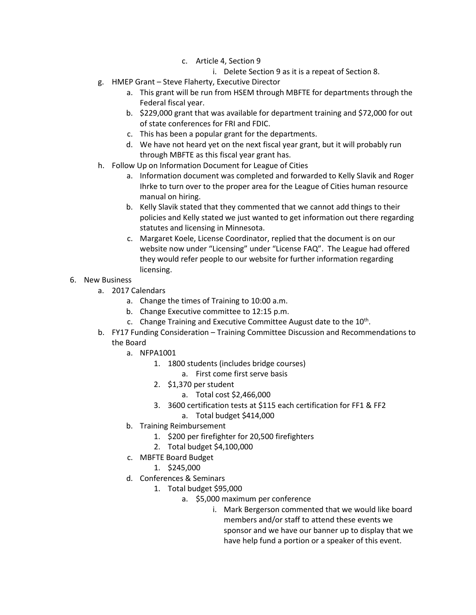- c. Article 4, Section 9
	- i. Delete Section 9 as it is a repeat of Section 8.
- g. HMEP Grant Steve Flaherty, Executive Director
	- a. This grant will be run from HSEM through MBFTE for departments through the Federal fiscal year.
	- b. \$229,000 grant that was available for department training and \$72,000 for out of state conferences for FRI and FDIC.
	- c. This has been a popular grant for the departments.
	- d. We have not heard yet on the next fiscal year grant, but it will probably run through MBFTE as this fiscal year grant has.
- h. Follow Up on Information Document for League of Cities
	- a. Information document was completed and forwarded to Kelly Slavik and Roger Ihrke to turn over to the proper area for the League of Cities human resource manual on hiring.
	- b. Kelly Slavik stated that they commented that we cannot add things to their policies and Kelly stated we just wanted to get information out there regarding statutes and licensing in Minnesota.
	- c. Margaret Koele, License Coordinator, replied that the document is on our website now under "Licensing" under "License FAQ". The League had offered they would refer people to our website for further information regarding licensing.
- 6. New Business
	- a. 2017 Calendars
		- a. Change the times of Training to 10:00 a.m.
		- b. Change Executive committee to 12:15 p.m.
		- c. Change Training and Executive Committee August date to the  $10<sup>th</sup>$ .
	- b. FY17 Funding Consideration Training Committee Discussion and Recommendations to the Board
		- a. NFPA1001
			- 1. 1800 students (includes bridge courses)
				- a. First come first serve basis
			- 2. \$1,370 per student
				- a. Total cost \$2,466,000
			- 3. 3600 certification tests at \$115 each certification for FF1 & FF2
				- a. Total budget \$414,000
		- b. Training Reimbursement
			- 1. \$200 per firefighter for 20,500 firefighters
			- 2. Total budget \$4,100,000
		- c. MBFTE Board Budget
			- 1. \$245,000
		- d. Conferences & Seminars
			- 1. Total budget \$95,000
				- a. \$5,000 maximum per conference
					- i. Mark Bergerson commented that we would like board members and/or staff to attend these events we sponsor and we have our banner up to display that we have help fund a portion or a speaker of this event.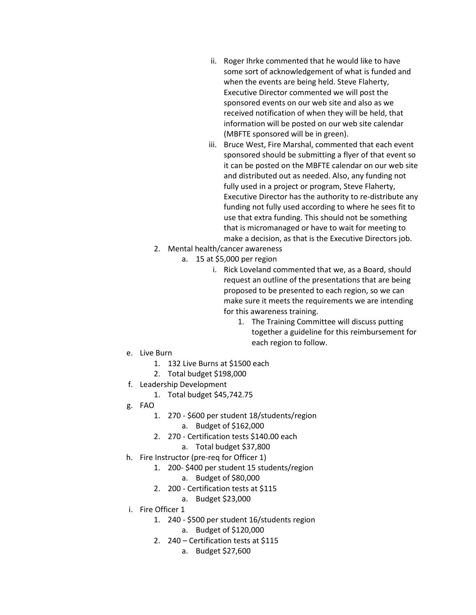- ii. Roger Ihrke commented that he would like to have some sort of acknowledgement of what is funded and when the events are being held. Steve Flaherty, Executive Director commented we will post the sponsored events on our web site and also as we received notification of when they will be held, that information will be posted on our web site calendar (MBFTE sponsored will be in green).
- iii. Bruce West, Fire Marshal, commented that each event sponsored should be submitting a flyer of that event so it can be posted on the MBFTE calendar on our web site and distributed out as needed. Also, any funding not fully used in a project or program, Steve Flaherty, Executive Director has the authority to re-distribute any funding not fully used according to where he sees fit to use that extra funding. This should not be something that is micromanaged or have to wait for meeting to make a decision, as that is the Executive Directors job.
- 2. Mental health/cancer awareness
	- a. 15 at \$5,000 per region
		- i. Rick Loveland commented that we, as a Board, should request an outline of the presentations that are being proposed to be presented to each region, so we can make sure it meets the requirements we are intending for this awareness training.
			- 1. The Training Committee will discuss putting together a guideline for this reimbursement for each region to follow.

- e. Live Burn
	- 1. 132 Live Burns at \$1500 each
	- 2. Total budget \$198,000
- f. Leadership Development
	- 1. Total budget \$45,742.75
- g. FAO
	- 1. 270 \$600 per student 18/students/region
		- a. Budget of \$162,000
	- 2. 270 Certification tests \$140.00 each
		- a. Total budget \$37,800
- h. Fire Instructor (pre-req for Officer 1)
	- 1. 200- \$400 per student 15 students/region
		- a. Budget of \$80,000
	- 2. 200 Certification tests at \$115
		- a. Budget \$23,000
- i. Fire Officer 1
	- 1. 240 \$500 per student 16/students region
		- a. Budget of \$120,000
	- 2. 240 Certification tests at \$115
		- a. Budget \$27,600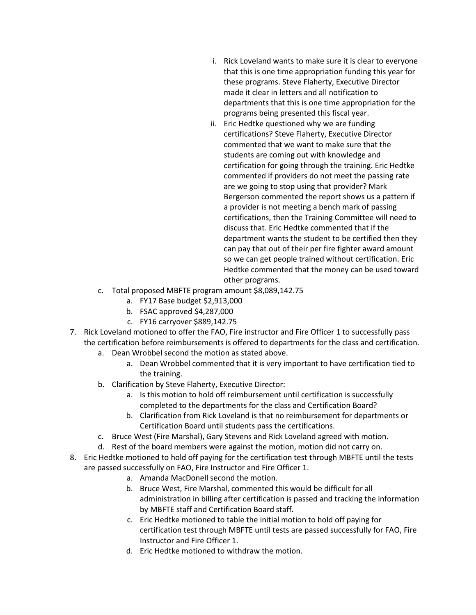- i. Rick Loveland wants to make sure it is clear to everyone that this is one time appropriation funding this year for these programs. Steve Flaherty, Executive Director made it clear in letters and all notification to departments that this is one time appropriation for the programs being presented this fiscal year.
- ii. Eric Hedtke questioned why we are funding certifications? Steve Flaherty, Executive Director commented that we want to make sure that the students are coming out with knowledge and certification for going through the training. Eric Hedtke commented if providers do not meet the passing rate are we going to stop using that provider? Mark Bergerson commented the report shows us a pattern if a provider is not meeting a bench mark of passing certifications, then the Training Committee will need to discuss that. Eric Hedtke commented that if the department wants the student to be certified then they can pay that out of their per fire fighter award amount so we can get people trained without certification. Eric Hedtke commented that the money can be used toward other programs.
- c. Total proposed MBFTE program amount \$8,089,142.75
	- a. FY17 Base budget \$2,913,000
	- b. FSAC approved \$4,287,000
	- c. FY16 carryover \$889,142.75
- 7. Rick Loveland motioned to offer the FAO, Fire instructor and Fire Officer 1 to successfully pass the certification before reimbursements is offered to departments for the class and certification.
	- a. Dean Wrobbel second the motion as stated above.
		- a. Dean Wrobbel commented that it is very important to have certification tied to the training.
	- b. Clarification by Steve Flaherty, Executive Director:
		- a. Is this motion to hold off reimbursement until certification is successfully completed to the departments for the class and Certification Board?
		- b. Clarification from Rick Loveland is that no reimbursement for departments or Certification Board until students pass the certifications.
	- c. Bruce West (Fire Marshal), Gary Stevens and Rick Loveland agreed with motion.
	- d. Rest of the board members were against the motion, motion did not carry on.
- 8. Eric Hedtke motioned to hold off paying for the certification test through MBFTE until the tests are passed successfully on FAO, Fire Instructor and Fire Officer 1.
	- a. Amanda MacDonell second the motion.
	- b. Bruce West, Fire Marshal, commented this would be difficult for all administration in billing after certification is passed and tracking the information by MBFTE staff and Certification Board staff.
	- c. Eric Hedtke motioned to table the initial motion to hold off paying for certification test through MBFTE until tests are passed successfully for FAO, Fire Instructor and Fire Officer 1.
	- d. Eric Hedtke motioned to withdraw the motion.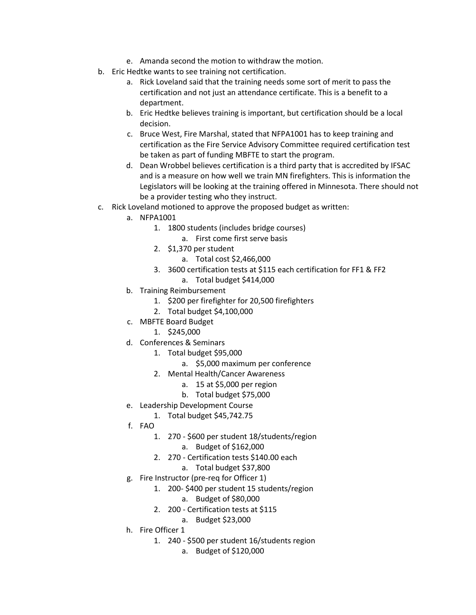- e. Amanda second the motion to withdraw the motion.
- b. Eric Hedtke wants to see training not certification.
	- a. Rick Loveland said that the training needs some sort of merit to pass the certification and not just an attendance certificate. This is a benefit to a department.
	- b. Eric Hedtke believes training is important, but certification should be a local decision.
	- c. Bruce West, Fire Marshal, stated that NFPA1001 has to keep training and certification as the Fire Service Advisory Committee required certification test be taken as part of funding MBFTE to start the program.
	- d. Dean Wrobbel believes certification is a third party that is accredited by IFSAC and is a measure on how well we train MN firefighters. This is information the Legislators will be looking at the training offered in Minnesota. There should not be a provider testing who they instruct.
- c. Rick Loveland motioned to approve the proposed budget as written:
	- a. NFPA1001
		- 1. 1800 students (includes bridge courses)
			- a. First come first serve basis
		- 2. \$1,370 per student
			- a. Total cost \$2,466,000
		- 3. 3600 certification tests at \$115 each certification for FF1 & FF2
			- a. Total budget \$414,000
	- b. Training Reimbursement
		- 1. \$200 per firefighter for 20,500 firefighters
		- 2. Total budget \$4,100,000
	- c. MBFTE Board Budget
		- 1. \$245,000
	- d. Conferences & Seminars
		- 1. Total budget \$95,000
			- a. \$5,000 maximum per conference
		- 2. Mental Health/Cancer Awareness
			- a. 15 at \$5,000 per region
			- b. Total budget \$75,000
	- e. Leadership Development Course
		- 1. Total budget \$45,742.75
	- f. FAO
		- 1. 270 \$600 per student 18/students/region
			- a. Budget of \$162,000
		- 2. 270 Certification tests \$140.00 each
			- a. Total budget \$37,800
	- g. Fire Instructor (pre-req for Officer 1)
		- 1. 200- \$400 per student 15 students/region
			- a. Budget of \$80,000
		- 2. 200 Certification tests at \$115
			- a. Budget \$23,000
	- h. Fire Officer 1
		- 1. 240 \$500 per student 16/students region
			- a. Budget of \$120,000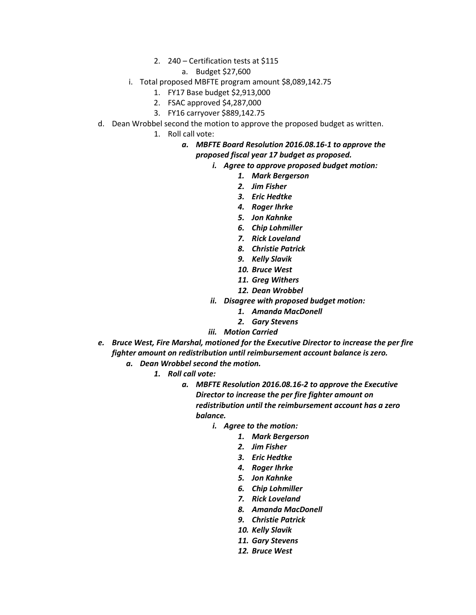2. 240 – Certification tests at \$115

#### a. Budget \$27,600

- i. Total proposed MBFTE program amount \$8,089,142.75
	- 1. FY17 Base budget \$2,913,000
	- 2. FSAC approved \$4,287,000
	- 3. FY16 carryover \$889,142.75
- d. Dean Wrobbel second the motion to approve the proposed budget as written.
	- 1. Roll call vote:

#### *a. MBFTE Board Resolution 2016.08.16-1 to approve the proposed fiscal year 17 budget as proposed.*

- *i. Agree to approve proposed budget motion:* 
	- *1. Mark Bergerson*
	- *2. Jim Fisher*
	- *3. Eric Hedtke*
	- *4. Roger Ihrke*
	- *5. Jon Kahnke*
	- *6. Chip Lohmiller*
	- *7. Rick Loveland*
	- *8. Christie Patrick*
	- *9. Kelly Slavik*
	- *10. Bruce West*
	- *11. Greg Withers*
	- *12. Dean Wrobbel*
- *ii. Disagree with proposed budget motion:*
	- *1. Amanda MacDonell*
	- *2. Gary Stevens*
- *iii. Motion Carried*
- *e. Bruce West, Fire Marshal, motioned for the Executive Director to increase the per fire fighter amount on redistribution until reimbursement account balance is zero.*
	- *a. Dean Wrobbel second the motion.*
		- *1. Roll call vote:*
			- *a. MBFTE Resolution 2016.08.16-2 to approve the Executive Director to increase the per fire fighter amount on redistribution until the reimbursement account has a zero balance.*
				- *i. Agree to the motion:*
					- *1. Mark Bergerson*
					- *2. Jim Fisher*
					- *3. Eric Hedtke*
					- *4. Roger Ihrke*
					- *5. Jon Kahnke*
					- *6. Chip Lohmiller*
					- *7. Rick Loveland*
					- *8. Amanda MacDonell*
					- *9. Christie Patrick*
					- *10. Kelly Slavik*
					- *11. Gary Stevens*
					- *12. Bruce West*